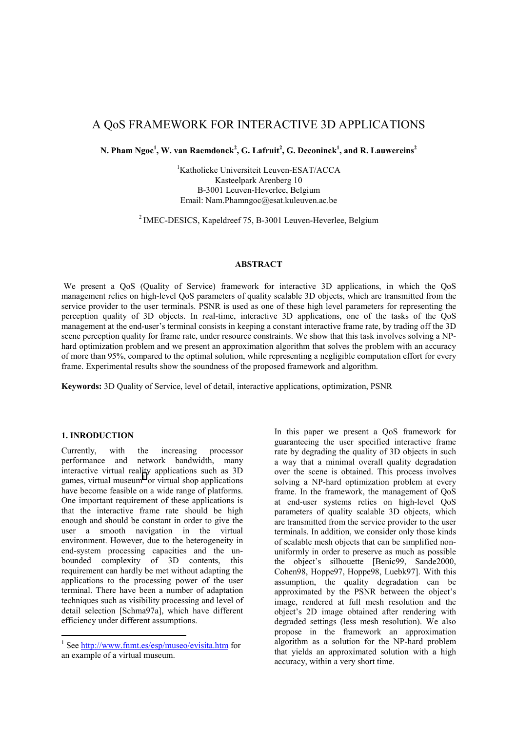# A QoS FRAMEWORK FOR INTERACTIVE 3D APPLICATIONS

 $N$ . Pham Ngoc<sup>1</sup>, W. van Raemdonck $^2$ , G. Lafruit $^2$ , G. Deconinck $^1$ , and R. Lauwereins $^2$ 

<sup>1</sup>Katholieke Universiteit Leuven-ESAT/ACCA Kasteelpark Arenberg 10 B-3001 Leuven-Heverlee, Belgium Email: Nam.Phamngoc@esat.kuleuven.ac.be

<sup>2</sup> IMEC-DESICS, Kapeldreef 75, B-3001 Leuven-Heverlee, Belgium

# **ABSTRACT**

 We present a QoS (Quality of Service) framework for interactive 3D applications, in which the QoS management relies on high-level QoS parameters of quality scalable 3D objects, which are transmitted from the service provider to the user terminals. PSNR is used as one of these high level parameters for representing the perception quality of 3D objects. In real-time, interactive 3D applications, one of the tasks of the QoS management at the end-user's terminal consists in keeping a constant interactive frame rate, by trading off the 3D scene perception quality for frame rate, under resource constraints. We show that this task involves solving a NPhard optimization problem and we present an approximation algorithm that solves the problem with an accuracy of more than 95%, compared to the optimal solution, while representing a negligible computation effort for every frame. Experimental results show the soundness of the proposed framework and algorithm.

**Keywords:** 3D Quality of Service, level of detail, interactive applications, optimization, PSNR

#### **1. INRODUCTION**

 $\overline{a}$ 

Currently, with the increasing processor performance and network bandwidth, many interactive virtual reality applications such as 3D games, virtual museum<sup>1</sup> or virtual shop applications have become feasible on a wide range of platforms. One important requirement of these applications is that the interactive frame rate should be high enough and should be constant in order to give the user a smooth navigation in the virtual environment. However, due to the heterogeneity in end-system processing capacities and the unbounded complexity of 3D contents, this requirement can hardly be met without adapting the applications to the processing power of the user terminal. There have been a number of adaptation techniques such as visibility processing and level of detail selection [Schma97a], which have different efficiency under different assumptions.

In this paper we present a QoS framework for guaranteeing the user specified interactive frame rate by degrading the quality of 3D objects in such a way that a minimal overall quality degradation over the scene is obtained. This process involves solving a NP-hard optimization problem at every frame. In the framework, the management of QoS at end-user systems relies on high-level QoS parameters of quality scalable 3D objects, which are transmitted from the service provider to the user terminals. In addition, we consider only those kinds of scalable mesh objects that can be simplified nonuniformly in order to preserve as much as possible the object's silhouette [Benic99, Sande2000, Cohen98, Hoppe97, Hoppe98, Luebk97]. With this assumption, the quality degradation can be approximated by the PSNR between the object's image, rendered at full mesh resolution and the object's 2D image obtained after rendering with degraded settings (less mesh resolution). We also propose in the framework an approximation algorithm as a solution for the NP-hard problem that yields an approximated solution with a high accuracy, within a very short time.

<sup>&</sup>lt;sup>1</sup> See http://www.fnmt.es/esp/museo/evisita.htm for an example of a virtual museum.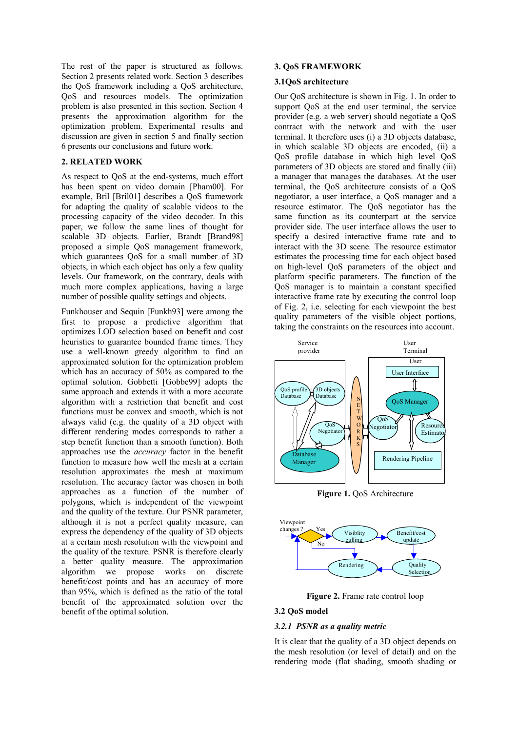The rest of the paper is structured as follows. Section 2 presents related work. Section 3 describes the QoS framework including a QoS architecture, QoS and resources models. The optimization problem is also presented in this section. Section 4 presents the approximation algorithm for the optimization problem. Experimental results and discussion are given in section 5 and finally section 6 presents our conclusions and future work.

#### **2. RELATED WORK**

As respect to QoS at the end-systems, much effort has been spent on video domain [Pham00]. For example, Bril [Bril01] describes a OoS framework for adapting the quality of scalable videos to the processing capacity of the video decoder. In this paper, we follow the same lines of thought for scalable 3D objects. Earlier, Brandt [Brand98] proposed a simple QoS management framework, which guarantees QoS for a small number of 3D objects, in which each object has only a few quality levels. Our framework, on the contrary, deals with much more complex applications, having a large number of possible quality settings and objects.

Funkhouser and Sequin [Funkh93] were among the first to propose a predictive algorithm that optimizes LOD selection based on benefit and cost heuristics to guarantee bounded frame times. They use a well-known greedy algorithm to find an approximated solution for the optimization problem which has an accuracy of 50% as compared to the optimal solution. Gobbetti [Gobbe99] adopts the same approach and extends it with a more accurate algorithm with a restriction that benefit and cost functions must be convex and smooth, which is not always valid (e.g. the quality of a 3D object with different rendering modes corresponds to rather a step benefit function than a smooth function). Both approaches use the *accuracy* factor in the benefit function to measure how well the mesh at a certain resolution approximates the mesh at maximum resolution. The accuracy factor was chosen in both approaches as a function of the number of polygons, which is independent of the viewpoint and the quality of the texture. Our PSNR parameter, although it is not a perfect quality measure, can express the dependency of the quality of 3D objects at a certain mesh resolution with the viewpoint and the quality of the texture. PSNR is therefore clearly a better quality measure. The approximation algorithm we propose works on discrete benefit/cost points and has an accuracy of more than 95%, which is defined as the ratio of the total benefit of the approximated solution over the benefit of the optimal solution.

#### **3. QoS FRAMEWORK**

#### **3.1QoS architecture**

Our QoS architecture is shown in Fig. 1. In order to support QoS at the end user terminal, the service provider (e.g. a web server) should negotiate a QoS contract with the network and with the user terminal. It therefore uses (i) a 3D objects database, in which scalable 3D objects are encoded, (ii) a QoS profile database in which high level QoS parameters of 3D objects are stored and finally (iii) a manager that manages the databases. At the user terminal, the QoS architecture consists of a QoS negotiator, a user interface, a QoS manager and a resource estimator. The QoS negotiator has the same function as its counterpart at the service provider side. The user interface allows the user to specify a desired interactive frame rate and to interact with the 3D scene. The resource estimator estimates the processing time for each object based on high-level QoS parameters of the object and platform specific parameters. The function of the QoS manager is to maintain a constant specified interactive frame rate by executing the control loop of Fig. 2, i.e. selecting for each viewpoint the best quality parameters of the visible object portions, taking the constraints on the resources into account.



**Figure 1.** QoS Architecture



Figure 2. Frame rate control loop

#### **3.2 QoS model**

# *3.2.1 PSNR as a quality metric*

It is clear that the quality of a 3D object depends on the mesh resolution (or level of detail) and on the rendering mode (flat shading, smooth shading or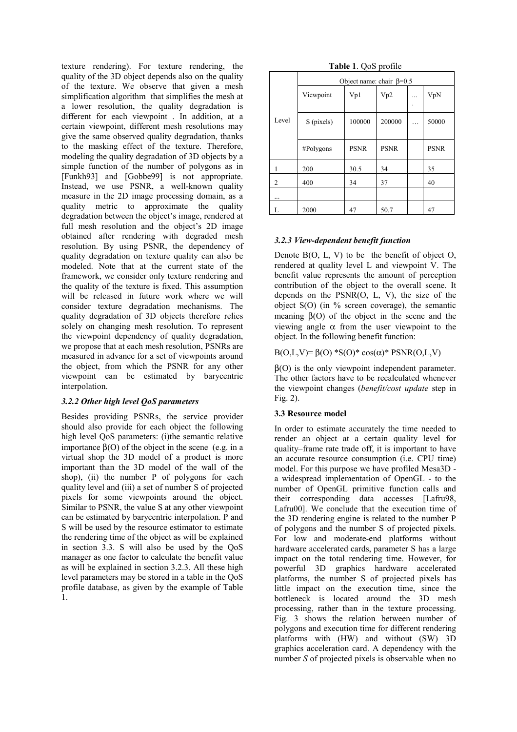texture rendering). For texture rendering, the quality of the 3D object depends also on the quality of the texture. We observe that given a mesh simplification algorithm that simplifies the mesh at a lower resolution, the quality degradation is different for each viewpoint . In addition, at a certain viewpoint, different mesh resolutions may give the same observed quality degradation, thanks to the masking effect of the texture. Therefore, modeling the quality degradation of 3D objects by a simple function of the number of polygons as in [Funkh93] and [Gobbe99] is not appropriate. Instead, we use PSNR, a well-known quality measure in the 2D image processing domain, as a quality metric to approximate the quality degradation between the object's image, rendered at full mesh resolution and the object's 2D image obtained after rendering with degraded mesh resolution. By using PSNR, the dependency of quality degradation on texture quality can also be modeled. Note that at the current state of the framework, we consider only texture rendering and the quality of the texture is fixed. This assumption will be released in future work where we will consider texture degradation mechanisms. The quality degradation of 3D objects therefore relies solely on changing mesh resolution. To represent the viewpoint dependency of quality degradation, we propose that at each mesh resolution, PSNRs are measured in advance for a set of viewpoints around the object, from which the PSNR for any other viewpoint can be estimated by barycentric interpolation.

# *3.2.2 Other high level QoS parameters*

Besides providing PSNRs, the service provider should also provide for each object the following high level QoS parameters: (i)the semantic relative importance β(O) of the object in the scene (e.g. in a virtual shop the 3D model of a product is more important than the 3D model of the wall of the shop), (ii) the number P of polygons for each quality level and (iii) a set of number S of projected pixels for some viewpoints around the object. Similar to PSNR, the value S at any other viewpoint can be estimated by barycentric interpolation. P and S will be used by the resource estimator to estimate the rendering time of the object as will be explained in section 3.3. S will also be used by the QoS manager as one factor to calculate the benefit value as will be explained in section 3.2.3. All these high level parameters may be stored in a table in the QoS profile database, as given by the example of Table 1.

|  |  | Table 1. QoS profile |
|--|--|----------------------|
|--|--|----------------------|

|       | Object name: chair $\beta$ =0.5 |             |             |   |             |
|-------|---------------------------------|-------------|-------------|---|-------------|
|       | Viewpoint                       | Vp1         | Vp2         | . | VpN         |
| Level | S (pixels)                      | 100000      | 200000      |   | 50000       |
|       | #Polygons                       | <b>PSNR</b> | <b>PSNR</b> |   | <b>PSNR</b> |
|       | 200                             | 30.5        | 34          |   | 35          |
| 2     | 400                             | 34          | 37          |   | 40          |
|       |                                 |             |             |   |             |
|       | 2000                            | 47          | 50.7        |   | 47          |

# *3.2.3 View-dependent benefit function*

Denote  $B(O, L, V)$  to be the benefit of object  $O$ , rendered at quality level L and viewpoint V. The benefit value represents the amount of perception contribution of the object to the overall scene. It depends on the PSNR(O, L, V), the size of the object S(O) (in % screen coverage), the semantic meaning  $\beta$ (O) of the object in the scene and the viewing angle α from the user viewpoint to the object. In the following benefit function:

B(O,L,V)=  $β(0) * S(0) * cos(α) * PSNR(0, L, V)$ 

β(O) is the only viewpoint independent parameter. The other factors have to be recalculated whenever the viewpoint changes (*benefit/cost update* step in Fig. 2).

# **3.3 Resource model**

In order to estimate accurately the time needed to render an object at a certain quality level for quality–frame rate trade off, it is important to have an accurate resource consumption (i.e. CPU time) model. For this purpose we have profiled Mesa3D a widespread implementation of OpenGL - to the number of OpenGL primitive function calls and their corresponding data accesses [Lafru98, Lafru00]. We conclude that the execution time of the 3D rendering engine is related to the number P of polygons and the number S of projected pixels. For low and moderate-end platforms without hardware accelerated cards, parameter S has a large impact on the total rendering time. However, for powerful 3D graphics hardware accelerated platforms, the number S of projected pixels has little impact on the execution time, since the bottleneck is located around the 3D mesh processing, rather than in the texture processing. Fig. 3 shows the relation between number of polygons and execution time for different rendering platforms with (HW) and without (SW) 3D graphics acceleration card. A dependency with the number *S* of projected pixels is observable when no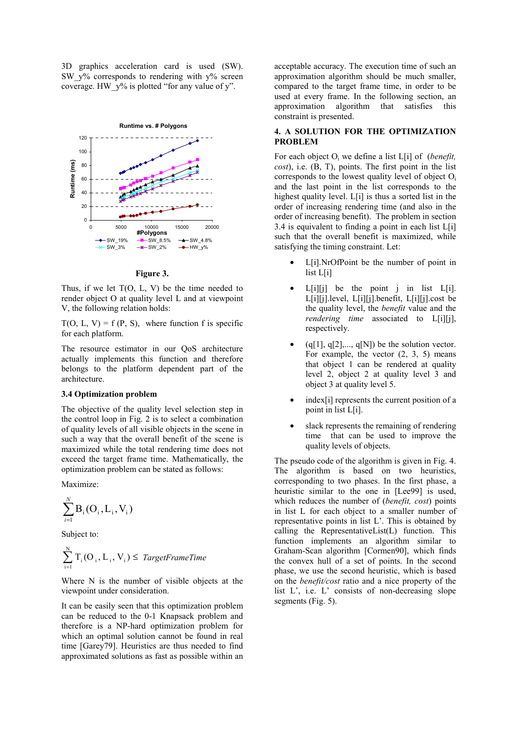3D graphics acceleration card is used (SW). SW  $y\%$  corresponds to rendering with  $y\%$  screen coverage. HW  $y\%$  is plotted "for any value of y".



**Figure 3.**

Thus, if we let  $T(O, L, V)$  be the time needed to render object O at quality level L and at viewpoint V, the following relation holds:

 $T(O, L, V) = f(P, S)$ , where function f is specific for each platform.

The resource estimator in our QoS architecture actually implements this function and therefore belongs to the platform dependent part of the architecture.

# **3.4 Optimization problem**

The objective of the quality level selection step in the control loop in Fig. 2 is to select a combination of quality levels of all visible objects in the scene in such a way that the overall benefit of the scene is maximized while the total rendering time does not exceed the target frame time. Mathematically, the optimization problem can be stated as follows:

Maximize:

$$
\sum_{i=1}^N B_i(O_i, L_i, V_i)
$$

Subject to:

$$
\sum_{i=1}^{N} T_i(O_i, L_i, V_i) \leq \text{TargetFrameTime}
$$

Where N is the number of visible objects at the viewpoint under consideration.

It can be easily seen that this optimization problem can be reduced to the 0-1 Knapsack problem and therefore is a NP-hard optimization problem for which an optimal solution cannot be found in real time [Garey79]. Heuristics are thus needed to find approximated solutions as fast as possible within an acceptable accuracy. The execution time of such an approximation algorithm should be much smaller, compared to the target frame time, in order to be used at every frame. In the following section, an approximation algorithm that satisfies this constraint is presented.

# **4. A SOLUTION FOR THE OPTIMIZATION PROBLEM**

For each object O<sub>i</sub> we define a list L[i] of (*benefit*, *cost*), i.e. (B, T), points. The first point in the list corresponds to the lowest quality level of object Oi and the last point in the list corresponds to the highest quality level. L[i] is thus a sorted list in the order of increasing rendering time (and also in the order of increasing benefit). The problem in section 3.4 is equivalent to finding a point in each list L[i] such that the overall benefit is maximized, while satisfying the timing constraint. Let:

- L[i].NrOfPoint be the number of point in list L[i]
- $L[i][j]$  be the point j in list  $L[i]$ . L[i][j].level, L[i][j].benefit, L[i][j].cost be the quality level, the *benefit* value and the *rendering time* associated to L[i][j], respectively.
- $(q[1], q[2], \ldots, q[N])$  be the solution vector. For example, the vector  $(2, 3, 5)$  means that object 1 can be rendered at quality level 2, object 2 at quality level 3 and object 3 at quality level 5.
- index<sup>[i]</sup> represents the current position of a point in list L[i].
- slack represents the remaining of rendering time that can be used to improve the quality levels of objects.

The pseudo code of the algorithm is given in Fig. 4. The algorithm is based on two heuristics, corresponding to two phases. In the first phase, a heuristic similar to the one in [Lee99] is used, which reduces the number of (*benefit, cost*) points in list L for each object to a smaller number of representative points in list L'. This is obtained by calling the RepresentativeList(L) function. This function implements an algorithm similar to Graham-Scan algorithm [Cormen90], which finds the convex hull of a set of points. In the second phase, we use the second heuristic, which is based on the *benefit/cost* ratio and a nice property of the list L', i.e. L' consists of non-decreasing slope segments (Fig. 5).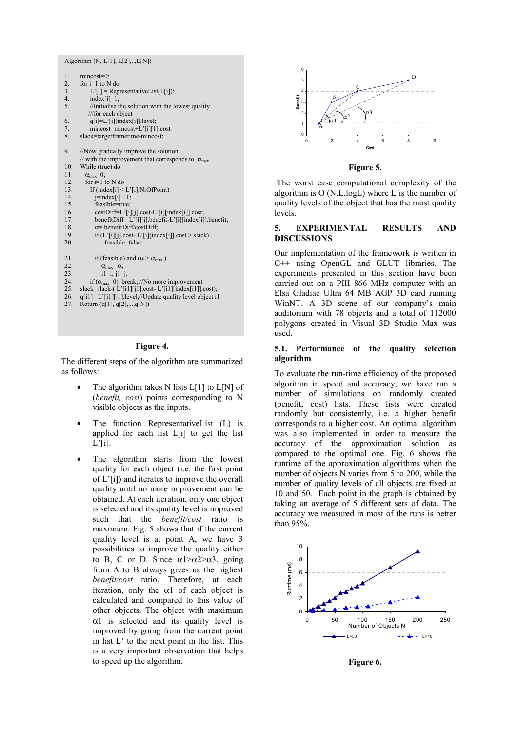| Algorithm (N, L[1], L[2],,L[N]) |                                                                   |  |  |
|---------------------------------|-------------------------------------------------------------------|--|--|
| 1.                              | $mincost=0$ ;                                                     |  |  |
| 2.                              | for $i=1$ to N do                                                 |  |  |
| 3.                              | $L'[i]$ = Representative List( $L[i]$ );                          |  |  |
| 4.                              | $index[i]=1;$                                                     |  |  |
| 5.                              | //Initialise the solution with the lowest quality                 |  |  |
|                                 | ///for each object                                                |  |  |
| 6.                              | $q[i]=L'[i][index[i]].level;$                                     |  |  |
| 7.                              | mincost=mincost+L'[i][1].cost                                     |  |  |
| 8.                              | slack=targetframetime-mincost;                                    |  |  |
| 9.                              | //Now gradually improve the solution                              |  |  |
|                                 | // with the improvement that corresponds to $\alpha_{\text{max}}$ |  |  |
| 10.                             | While (true) do                                                   |  |  |
| 11.                             | $\alpha_{\text{max}}=0$ ;                                         |  |  |
| 12.                             | for $i=1$ to N do                                                 |  |  |
| 13.                             | If $(index[i] < L'[i].NrOfPoint)$                                 |  |  |
| 14.                             | $j$ =index $[i]+1$ ;                                              |  |  |
| 15.                             | feasible=true;                                                    |  |  |
| 16.                             | costDiff=L'[i][j].cost-L'[i][index[i]].cost;                      |  |  |
| 17.                             | benefitDiff= L'[i][j].benefit-L'[i][index[i]].benefit;            |  |  |
| 18.                             | $\alpha$ = benefitDiff/costDiff;                                  |  |  |
| 19.                             | if $(L'[i][j].cost-L'[i][index[i]].cost > slack)$                 |  |  |
| 20.                             | feasible=false;                                                   |  |  |
| 21.                             | if (feasible) and ( $\alpha$ > $\alpha_{\text{max}}$ )            |  |  |
| 22.                             | $\alpha_{\text{max}} = \alpha$ ;                                  |  |  |
| 23.                             | $i1=i$ ; $i1=i$ ;                                                 |  |  |
| 24.                             | if $(\alpha_{\text{max}}=0)$ break; //No more improvement         |  |  |
| 25.                             | slack=slack-(L'[i1][j1].cost-L'[i1][index[i1]].cost);             |  |  |
| 26.                             | q[i1]= L'[i1][j1].level;//Update quality level object i1          |  |  |
| 27                              | $D_{\text{other}}$ ( $\sim$ [1] $\sim$ [2] $\sim$ [NII)           |  |  |

Return (q[1], q[2],...,q[N])

#### **Figure 4.**

The different steps of the algorithm are summarized as follows:

- The algorithm takes N lists  $L[1]$  to  $L[N]$  of (*benefit, cost*) points corresponding to N visible objects as the inputs.
- The function RepresentativeList (L) is applied for each list L[i] to get the list L'[i].
- The algorithm starts from the lowest quality for each object (i.e. the first point of L'[i]) and iterates to improve the overall quality until no more improvement can be obtained. At each iteration, only one object is selected and its quality level is improved such that the *benefit/cost* ratio is maximum. Fig. 5 shows that if the current quality level is at point A, we have 3 possibilities to improve the quality either to B, C or D. Since  $\alpha$ 1> $\alpha$ 2> $\alpha$ 3, going from A to B always gives us the highest *benefit/cost* ratio. Therefore, at each iteration, only the  $\alpha$ 1 of each object is calculated and compared to this value of other objects. The object with maximum  $\alpha$ 1 is selected and its quality level is improved by going from the current point in list L' to the next point in the list. This is a very important observation that helps to speed up the algorithm.



**Figure 5.**

 The worst case computational complexity of the algorithm is O (N.L.logL) where L is the number of quality levels of the object that has the most quality levels.

# **5. EXPERIMENTAL RESULTS AND DISCUSSIONS**

Our implementation of the framework is written in C++ using OpenGL and GLUT libraries. The experiments presented in this section have been carried out on a PIII 866 MHz computer with an Elsa Gladiac Ultra 64 MB AGP 3D card running WinNT. A 3D scene of our company's main auditorium with 78 objects and a total of 112000 polygons created in Visual 3D Studio Max was used.

# **5.1. Performance of the quality selection algorithm**

To evaluate the run-time efficiency of the proposed algorithm in speed and accuracy, we have run a number of simulations on randomly created (benefit, cost) lists. These lists were created randomly but consistently, i.e. a higher benefit corresponds to a higher cost. An optimal algorithm was also implemented in order to measure the accuracy of the approximation solution as compared to the optimal one. Fig. 6 shows the runtime of the approximation algorithms when the number of objects N varies from 5 to 200, while the number of quality levels of all objects are fixed at 10 and 50. Each point in the graph is obtained by taking an average of 5 different sets of data. The accuracy we measured in most of the runs is better than 95%.



**Figure 6.**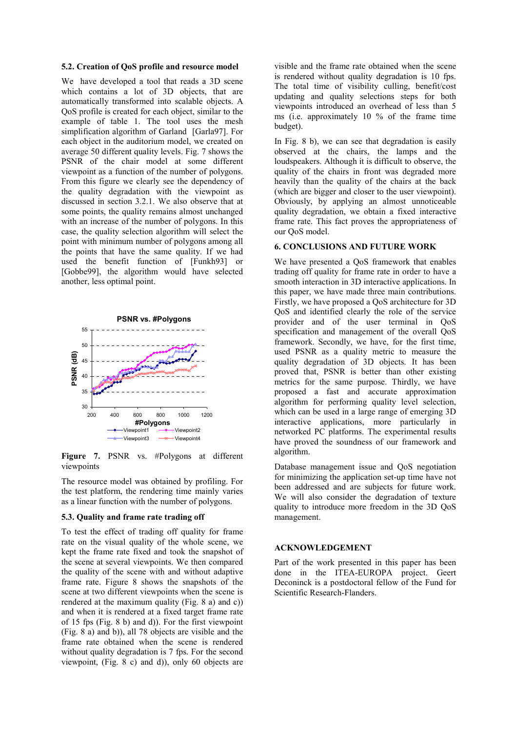#### **5.2. Creation of QoS profile and resource model**

We have developed a tool that reads a 3D scene which contains a lot of 3D objects, that are automatically transformed into scalable objects. A QoS profile is created for each object, similar to the example of table 1. The tool uses the mesh simplification algorithm of Garland [Garla97]. For each object in the auditorium model, we created on average 50 different quality levels. Fig. 7 shows the PSNR of the chair model at some different viewpoint as a function of the number of polygons. From this figure we clearly see the dependency of the quality degradation with the viewpoint as discussed in section 3.2.1. We also observe that at some points, the quality remains almost unchanged with an increase of the number of polygons. In this case, the quality selection algorithm will select the point with minimum number of polygons among all the points that have the same quality. If we had used the benefit function of [Funkh93] or [Gobbe99], the algorithm would have selected another, less optimal point.



**Figure 7.** PSNR vs. #Polygons at different viewpoints

The resource model was obtained by profiling. For the test platform, the rendering time mainly varies as a linear function with the number of polygons.

#### **5.3. Quality and frame rate trading off**

To test the effect of trading off quality for frame rate on the visual quality of the whole scene, we kept the frame rate fixed and took the snapshot of the scene at several viewpoints. We then compared the quality of the scene with and without adaptive frame rate. Figure 8 shows the snapshots of the scene at two different viewpoints when the scene is rendered at the maximum quality (Fig. 8 a) and c)) and when it is rendered at a fixed target frame rate of 15 fps (Fig. 8 b) and d)). For the first viewpoint (Fig. 8 a) and b)), all 78 objects are visible and the frame rate obtained when the scene is rendered without quality degradation is 7 fps. For the second viewpoint, (Fig. 8 c) and d)), only 60 objects are

visible and the frame rate obtained when the scene is rendered without quality degradation is 10 fps. The total time of visibility culling, benefit/cost updating and quality selections steps for both viewpoints introduced an overhead of less than 5 ms (i.e. approximately 10 % of the frame time budget).

In Fig. 8 b), we can see that degradation is easily observed at the chairs, the lamps and the loudspeakers. Although it is difficult to observe, the quality of the chairs in front was degraded more heavily than the quality of the chairs at the back (which are bigger and closer to the user viewpoint). Obviously, by applying an almost unnoticeable quality degradation, we obtain a fixed interactive frame rate. This fact proves the appropriateness of our QoS model.

#### **6. CONCLUSIONS AND FUTURE WORK**

We have presented a QoS framework that enables trading off quality for frame rate in order to have a smooth interaction in 3D interactive applications. In this paper, we have made three main contributions. Firstly, we have proposed a QoS architecture for 3D QoS and identified clearly the role of the service provider and of the user terminal in QoS specification and management of the overall QoS framework. Secondly, we have, for the first time, used PSNR as a quality metric to measure the quality degradation of 3D objects. It has been proved that, PSNR is better than other existing metrics for the same purpose. Thirdly, we have proposed a fast and accurate approximation algorithm for performing quality level selection, which can be used in a large range of emerging 3D interactive applications, more particularly in networked PC platforms. The experimental results have proved the soundness of our framework and algorithm.

Database management issue and QoS negotiation for minimizing the application set-up time have not been addressed and are subjects for future work. We will also consider the degradation of texture quality to introduce more freedom in the 3D QoS management.

# **ACKNOWLEDGEMENT**

Part of the work presented in this paper has been done in the ITEA-EUROPA project. Geert Deconinck is a postdoctoral fellow of the Fund for Scientific Research-Flanders.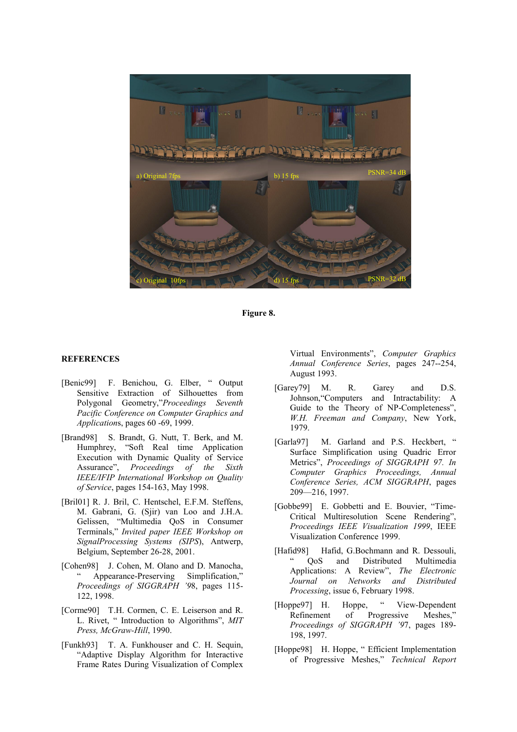

**Figure 8.**

#### **REFERENCES**

- [Benic99] F. Benichou, G. Elber, " Output Sensitive Extraction of Silhouettes from Polygonal Geometry,"*Proceedings Seventh Pacific Conference on Computer Graphics and Application*s, pages 60 -69, 1999.
- [Brand98] S. Brandt, G. Nutt, T. Berk, and M. Humphrey, "Soft Real time Application Execution with Dynamic Quality of Service Assurance", *Proceedings of the Sixth IEEE/IFIP International Workshop on Quality of Service*, pages 154-163, May 1998.
- [Bril01] R. J. Bril, C. Hentschel, E.F.M. Steffens, M. Gabrani, G. (Sjir) van Loo and J.H.A. Gelissen, "Multimedia QoS in Consumer Terminals," *Invited paper IEEE Workshop on SignalProcessing Systems (SIPS*), Antwerp, Belgium, September 26-28, 2001.
- [Cohen98] J. Cohen, M. Olano and D. Manocha, " Appearance-Preserving Simplification," *Proceedings of SIGGRAPH '9*8, pages 115- 122, 1998.
- [Corme90] T.H. Cormen, C. E. Leiserson and R. L. Rivet, " Introduction to Algorithms", *MIT Press, McGraw-Hill*, 1990.
- [Funkh93] T. A. Funkhouser and C. H. Sequin, "Adaptive Display Algorithm for Interactive Frame Rates During Visualization of Complex

Virtual Environments", *Computer Graphics Annual Conference Series*, pages 247--254, August 1993.

- [Garey79] M. R. Garey and D.S. Johnson,"Computers and Intractability: A Guide to the Theory of NP-Completeness", *W.H. Freeman and Company*, New York, 1979.
- [Garla97] M. Garland and P.S. Heckbert, " Surface Simplification using Quadric Error Metrics", *Proceedings of SIGGRAPH 97. In Computer Graphics Proceedings, Annual Conference Series, ACM SIGGRAPH*, pages 209—216, 1997.
- [Gobbe99] E. Gobbetti and E. Bouvier, "Time-Critical Multiresolution Scene Rendering", *Proceedings IEEE Visualization 1999*, IEEE Visualization Conference 1999.
- [Hafid98] Hafid, G.Bochmann and R. Dessouli, " QoS and Distributed Multimedia Applications: A Review", *The Electronic Journal on Networks and Distributed Processing*, issue 6, February 1998.
- [Hoppe97] H. Hoppe, " View-Dependent Refinement of Progressive Meshes," *Proceedings of SIGGRAPH '9*7, pages 189- 198, 1997.
- [Hoppe98] H. Hoppe, " Efficient Implementation of Progressive Meshes," *Technical Report*